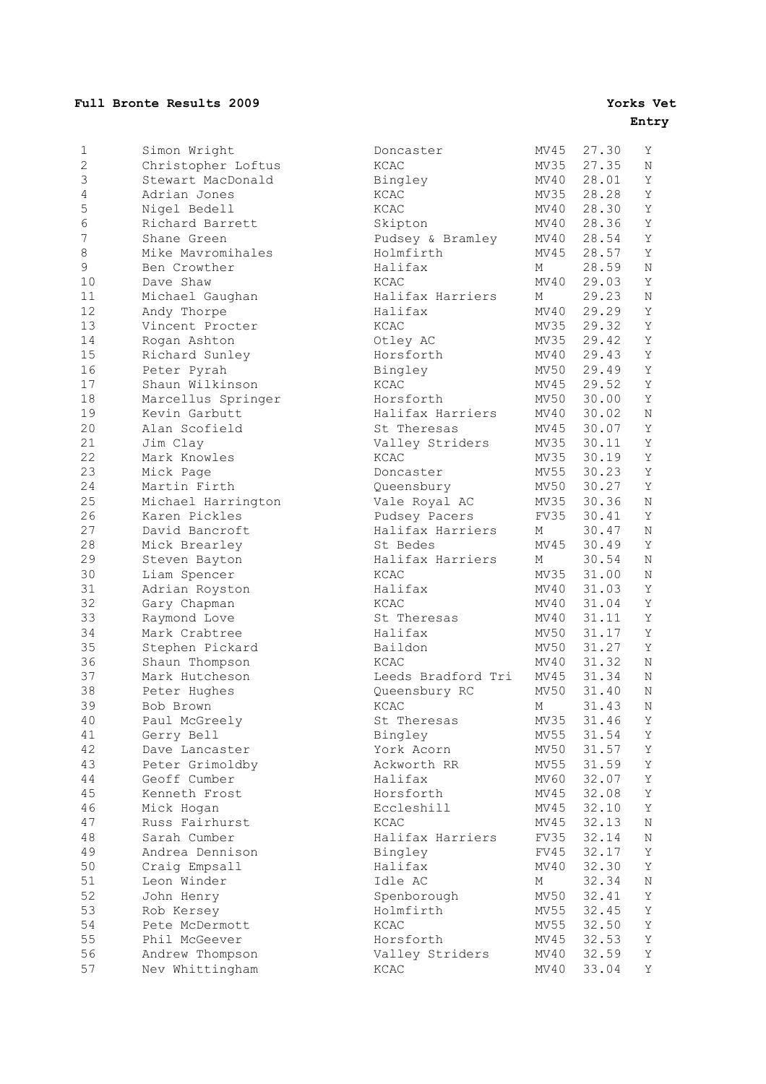## **Full Bronte Results 2009 Yorks Vet**

**Entry**

| 1              | Simon Wright                 | Doncaster                | MV45         | 27.30          | Υ       |
|----------------|------------------------------|--------------------------|--------------|----------------|---------|
| 2              | Christopher Loftus           | <b>KCAC</b>              | MV35         | 27.35          | Ν       |
| 3              | Stewart MacDonald            | Bingley                  | MV40         | 28.01          | Υ       |
| $\overline{4}$ | Adrian Jones                 | KCAC                     | MV35         | 28.28          | Υ       |
| 5              | Nigel Bedell                 | <b>KCAC</b>              | MV40         | 28.30          | Υ       |
| 6              | Richard Barrett              | Skipton                  | MV40         | 28.36          | Υ       |
| 7              | Shane Green                  | Pudsey & Bramley         | MV40         | 28.54          | Υ       |
| 8              | Mike Mavromihales            | Holmfirth                | MV45         | 28.57          | Υ       |
| 9              | Ben Crowther                 | Halifax                  | М            | 28.59          | $\rm N$ |
| 10             | Dave Shaw                    | <b>KCAC</b>              | MV40         | 29.03          | Υ       |
| 11             | Michael Gaughan              | Halifax Harriers         | М            | 29.23          | N       |
| 12             | Andy Thorpe                  | Halifax                  | MV40         | 29.29          | Υ       |
| 13             | Vincent Procter              | <b>KCAC</b>              | MV35         | 29.32          | Υ       |
| 14             | Rogan Ashton                 | Otley AC                 | MV35         | 29.42          | Υ       |
| 15             | Richard Sunley               | Horsforth                | MV40         | 29.43          | Υ       |
| 16             | Peter Pyrah                  | Bingley                  | MV50         | 29.49          | Υ       |
| 17             | Shaun Wilkinson              | <b>KCAC</b>              | MV45         | 29.52          | Υ       |
| 18             | Marcellus Springer           | Horsforth                | MV50         | 30.00          | Υ       |
| 19             | Kevin Garbutt                | Halifax Harriers         | MV40         | 30.02          | $\rm N$ |
| 20             | Alan Scofield                | St Theresas              | MV45         | 30.07          | Υ       |
| 21             | Jim Clay                     | Valley Striders          | MV35         | 30.11          | Υ       |
| 22             | Mark Knowles                 | <b>KCAC</b>              | MV35         | 30.19          | Υ       |
| 23             | Mick Page                    | Doncaster                | MV55         | 30.23          | Υ       |
| 24             | Martin Firth                 | Queensbury               | MV50         | 30.27          | Υ       |
| 25             | Michael Harrington           | Vale Royal AC            | MV35         | 30.36          | $\rm N$ |
| 26             | Karen Pickles                | Pudsey Pacers            | FV35         | 30.41          | Υ       |
| 27             | David Bancroft               | Halifax Harriers         | М            | 30.47          | $\rm N$ |
| 28             | Mick Brearley                | St Bedes                 | MV45         | 30.49          | Υ       |
| 29             | Steven Bayton                | Halifax Harriers         | М            | 30.54          | N       |
| 30             | Liam Spencer                 | <b>KCAC</b>              | MV35         | 31.00          | Ν       |
| 31             | Adrian Royston               | Halifax                  | MV40         | 31.03          | Υ       |
| 32             | Gary Chapman                 | <b>KCAC</b>              | MV40         | 31.04          | Υ       |
| 33             | Raymond Love                 | St Theresas              | MV40         | 31.11          | Υ       |
| 34             | Mark Crabtree                | Halifax                  | MV50         | 31.17          | Υ       |
| 35             | Stephen Pickard              | Baildon                  | MV50         | 31.27          | Υ       |
| 36             | Shaun Thompson               | <b>KCAC</b>              | MV40         | 31.32          | Ν       |
| 37             | Mark Hutcheson               | Leeds Bradford Tri       | MV45         | 31.34          | $\rm N$ |
| 38             | Peter Hughes                 | Queensbury RC            | MV50         | 31.40          | Ν       |
| 39             | Bob Brown                    | <b>KCAC</b>              | М            | 31.43          | $\rm N$ |
| 40             | Paul McGreely                | St Theresas              | MV35         | 31.46          | Y       |
| 41             | Gerry Bell                   | Bingley                  | MV55         | 31.54          | Υ       |
| 42             | Dave Lancaster               | York Acorn               | MV50         | 31.57          | Υ       |
| 43             | Peter Grimoldby              | Ackworth RR              | MV55         | 31.59          | Υ       |
| 44             | Geoff Cumber                 | Halifax                  | MV60         | 32.07          | Υ       |
| 45             | Kenneth Frost                | Horsforth                | MV45         | 32.08          | Υ       |
| 46             | Mick Hogan                   | Eccleshill               | MV45         | 32.10          | Υ       |
| 47             | Russ Fairhurst               | <b>KCAC</b>              | MV45         | 32.13          | Ν       |
| $4\,8$         | Sarah Cumber                 | Halifax Harriers         | FV35         | 32.14          | Ν       |
| 49             | Andrea Dennison              | Bingley                  | FV45         | 32.17          | Υ       |
| 50             |                              | Halifax                  | MV40         | 32.30          |         |
| 51             | Craig Empsall<br>Leon Winder | Idle AC                  |              | 32.34          | Υ       |
| 52             |                              |                          | Μ            |                | Ν       |
| 53             | John Henry                   | Spenborough<br>Holmfirth | MV50         | 32.41<br>32.45 | Υ<br>Υ  |
| 54             | Rob Kersey<br>Pete McDermott | KCAC                     | MV55<br>MV55 | 32.50          | Υ       |
| 55             | Phil McGeever                | Horsforth                | MV45         | 32.53          | Υ       |
| 56             | Andrew Thompson              | Valley Striders          | MV40         | 32.59          | Υ       |
| 57             | Nev Whittingham              | KCAC                     | MV40         | 33.04          | Υ       |
|                |                              |                          |              |                |         |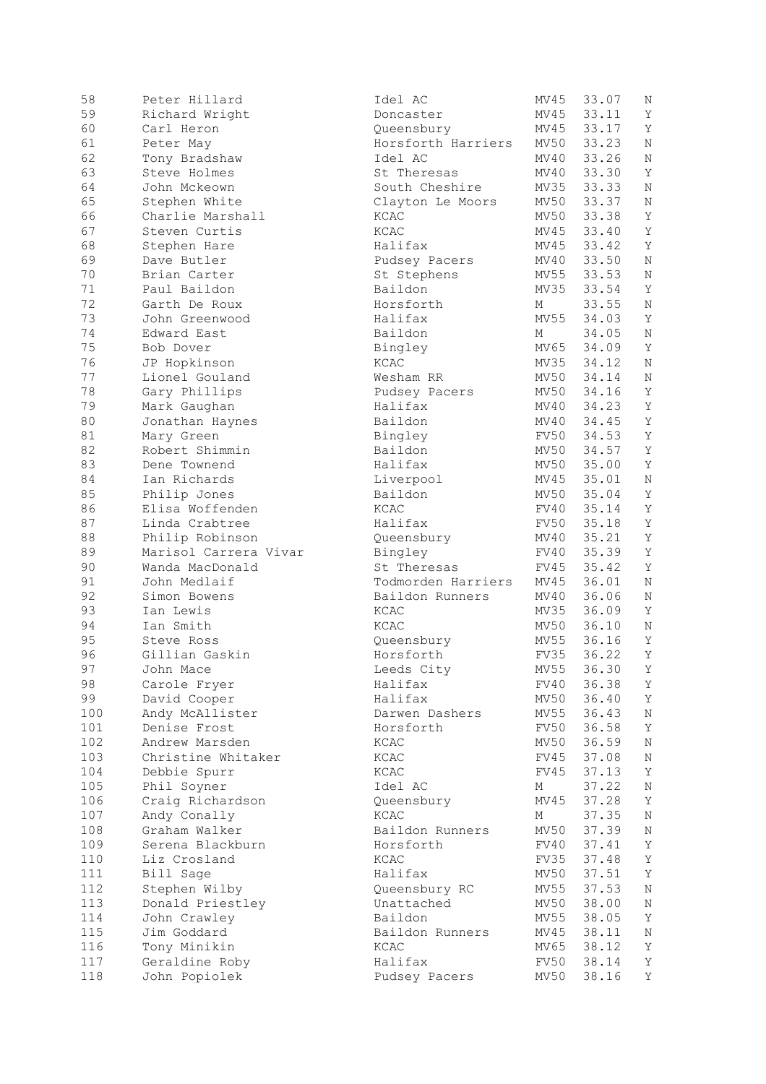| 58  | Peter Hillard         | Idel AC            | MV45  | 33.07 | N           |
|-----|-----------------------|--------------------|-------|-------|-------------|
| 59  | Richard Wright        | Doncaster          | MV45  | 33.11 | Υ           |
| 60  | Carl Heron            | Queensbury         | MV45  | 33.17 | Υ           |
| 61  | Peter May             | Horsforth Harriers | MV50  | 33.23 | N           |
| 62  | Tony Bradshaw         | Idel AC            | MV40  | 33.26 | N           |
| 63  | Steve Holmes          | St Theresas        | MV40  | 33.30 | Υ           |
| 64  | John Mckeown          | South Cheshire     | MV35  | 33.33 | N           |
| 65  |                       |                    | MV50  | 33.37 | $\rm N$     |
|     | Stephen White         | Clayton Le Moors   |       |       |             |
| 66  | Charlie Marshall      | KCAC               | MV50  | 33.38 | Y           |
| 67  | Steven Curtis         | <b>KCAC</b>        | MV45  | 33.40 | Y           |
| 68  | Stephen Hare          | Halifax            | MV45  | 33.42 | Υ           |
| 69  | Dave Butler           | Pudsey Pacers      | MV40  | 33.50 | $\rm N$     |
| 70  | Brian Carter          | St Stephens        | MV55  | 33.53 | $\rm N$     |
| 71  | Paul Baildon          | Baildon            | MV35  | 33.54 | Υ           |
| 72  | Garth De Roux         | Horsforth          | М     | 33.55 | $\rm N$     |
| 73  | John Greenwood        | Halifax            | MV55  | 34.03 | Y           |
| 74  | Edward East           | Baildon            | М     | 34.05 | $\mathbf N$ |
| 75  | Bob Dover             | Bingley            | MV65  | 34.09 | Y           |
| 76  | JP Hopkinson          | <b>KCAC</b>        | MV35  | 34.12 | N           |
| 77  | Lionel Gouland        | Wesham RR          | MV50  | 34.14 | $\rm N$     |
|     |                       |                    | MV50  |       |             |
| 78  | Gary Phillips         | Pudsey Pacers      |       | 34.16 | $\mathbf Y$ |
| 79  | Mark Gaughan          | Halifax            | MV40  | 34.23 | $\mathbf Y$ |
| 80  | Jonathan Haynes       | Baildon            | MV40  | 34.45 | Y           |
| 81  | Mary Green            | Bingley            | FV50  | 34.53 | Y           |
| 82  | Robert Shimmin        | Baildon            | MV50  | 34.57 | Y           |
| 83  | Dene Townend          | Halifax            | MV50  | 35.00 | $\mathbf Y$ |
| 84  | Ian Richards          | Liverpool          | MV45  | 35.01 | $\rm N$     |
| 85  | Philip Jones          | Baildon            | MV50  | 35.04 | Y           |
| 86  | Elisa Woffenden       | <b>KCAC</b>        | FV40  | 35.14 | Y           |
| 87  | Linda Crabtree        | Halifax            | FV50  | 35.18 | Y           |
| 88  | Philip Robinson       | Queensbury         | MV40  | 35.21 | Y           |
| 89  | Marisol Carrera Vivar | Bingley            | FV40  | 35.39 | Υ           |
| 90  | Wanda MacDonald       | St Theresas        | FV45  | 35.42 | Y           |
| 91  |                       |                    | MV45  |       | N           |
|     | John Medlaif          | Todmorden Harriers |       | 36.01 |             |
| 92  | Simon Bowens          | Baildon Runners    | MV40  | 36.06 | N           |
| 93  | Ian Lewis             | <b>KCAC</b>        | MV35  | 36.09 | Y           |
| 94  | Ian Smith             | KCAC               | MV50  | 36.10 | N           |
| 95  | Steve Ross            | Queensbury         | MV55  | 36.16 | Y           |
| 96  | Gillian Gaskin        | Horsforth          | FV35  | 36.22 | Υ           |
| 97  | John Mace             | Leeds City         | MV55  | 36.30 | Υ           |
| 98  | Carole Fryer          | Halifax            | FV40  | 36.38 | Υ           |
| 99  | David Cooper          | Halifax            | MV50  | 36.40 | Υ           |
| 100 | Andy McAllister       | Darwen Dashers     | MV55  | 36.43 | N           |
| 101 | Denise Frost          | Horsforth          | FV50  | 36.58 | Υ           |
| 102 | Andrew Marsden        | KCAC               | MV50  | 36.59 | $\rm N$     |
| 103 | Christine Whitaker    | KCAC               | FV45  | 37.08 | N           |
| 104 | Debbie Spurr          | KCAC               | FV45  | 37.13 | Υ           |
|     |                       | Idel AC            |       |       |             |
| 105 | Phil Soyner           |                    | М     | 37.22 | N           |
| 106 | Craig Richardson      | Queensbury         | MV45  | 37.28 | Υ           |
| 107 | Andy Conally          | <b>KCAC</b>        | М     | 37.35 | N           |
| 108 | Graham Walker         | Baildon Runners    | MV50  | 37.39 | N           |
| 109 | Serena Blackburn      | Horsforth          | FV40  | 37.41 | Υ           |
| 110 | Liz Crosland          | KCAC               | FV35  | 37.48 | $\mathbf Y$ |
| 111 | Bill Sage             | Halifax            | MV50  | 37.51 | Υ           |
| 112 | Stephen Wilby         | Queensbury RC      | MV55  | 37.53 | N           |
| 113 | Donald Priestley      | Unattached         | MV50  | 38.00 | N           |
| 114 | John Crawley          | Baildon            | MV55  | 38.05 | Υ           |
| 115 | Jim Goddard           | Baildon Runners    | MV45  | 38.11 | N           |
| 116 | Tony Minikin          | <b>KCAC</b>        | MV 65 | 38.12 | Υ           |
| 117 | Geraldine Roby        | Halifax            | FV50  | 38.14 | Υ           |
| 118 | John Popiolek         | Pudsey Pacers      | MV50  | 38.16 | Υ           |
|     |                       |                    |       |       |             |